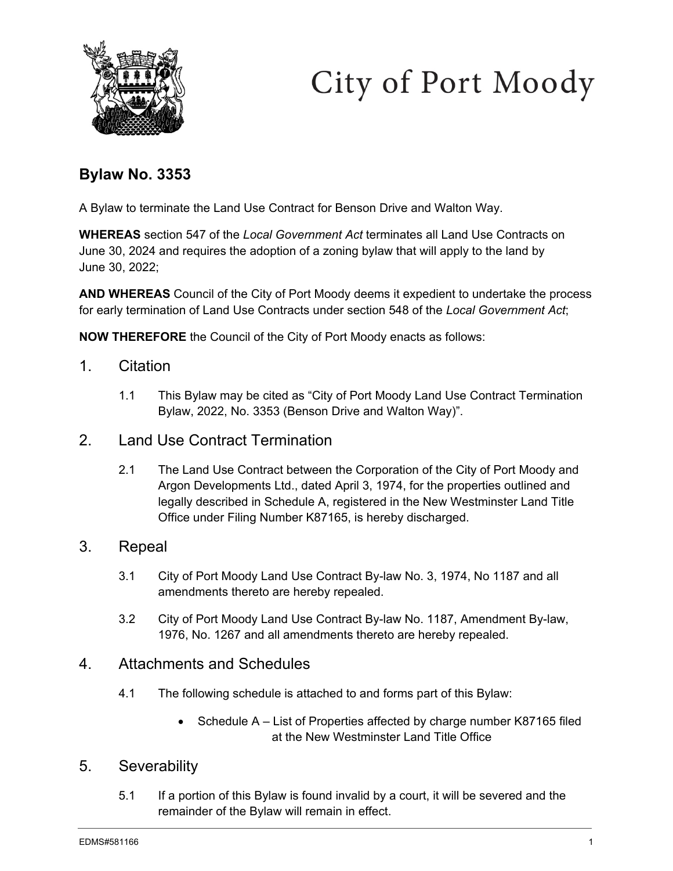



# **Bylaw No. 3353**

A Bylaw to terminate the Land Use Contract for Benson Drive and Walton Way.

**WHEREAS** section 547 of the *Local Government Act* terminates all Land Use Contracts on June 30, 2024 and requires the adoption of a zoning bylaw that will apply to the land by June 30, 2022;

**AND WHEREAS** Council of the City of Port Moody deems it expedient to undertake the process for early termination of Land Use Contracts under section 548 of the *Local Government Act*;

**NOW THEREFORE** the Council of the City of Port Moody enacts as follows:

- 1. Citation
	- 1.1 This Bylaw may be cited as "City of Port Moody Land Use Contract Termination Bylaw, 2022, No. 3353 (Benson Drive and Walton Way)".
- 2. Land Use Contract Termination
	- 2.1 The Land Use Contract between the Corporation of the City of Port Moody and Argon Developments Ltd., dated April 3, 1974, for the properties outlined and legally described in Schedule A, registered in the New Westminster Land Title Office under Filing Number K87165, is hereby discharged.

## 3. Repeal

- 3.1 City of Port Moody Land Use Contract By-law No. 3, 1974, No 1187 and all amendments thereto are hereby repealed.
- 3.2 City of Port Moody Land Use Contract By-law No. 1187, Amendment By-law, 1976, No. 1267 and all amendments thereto are hereby repealed.

### 4. Attachments and Schedules

- 4.1 The following schedule is attached to and forms part of this Bylaw:
	- Schedule A List of Properties affected by charge number K87165 filed at the New Westminster Land Title Office

# 5. Severability

5.1 If a portion of this Bylaw is found invalid by a court, it will be severed and the remainder of the Bylaw will remain in effect.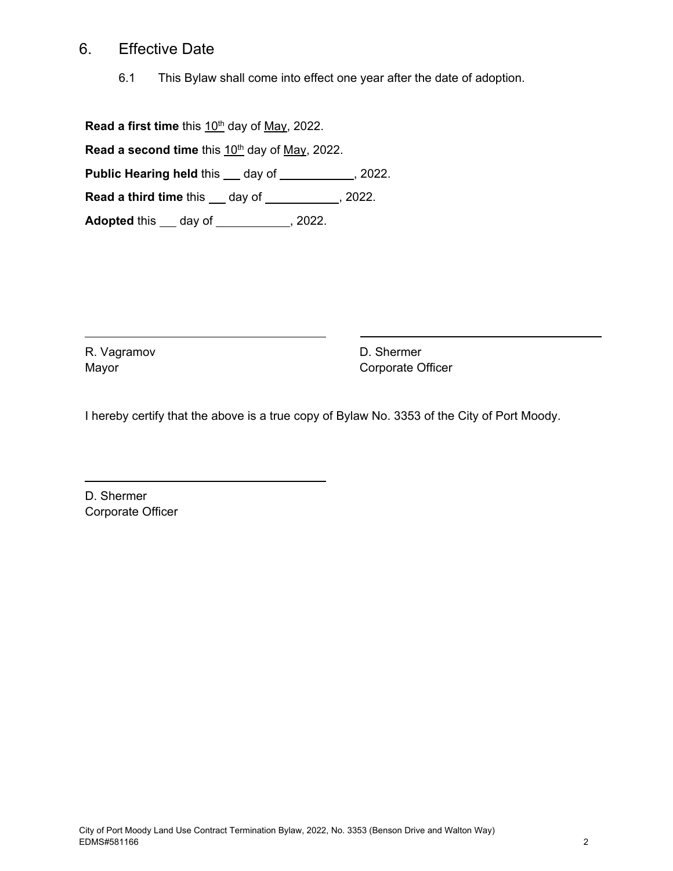## 6. Effective Date

6.1 This Bylaw shall come into effect one year after the date of adoption.

**Read a first time** this 10<sup>th</sup> day of May, 2022.

**Read a second time** this 10<sup>th</sup> day of May, 2022.

**Public Hearing held this \_\_ day of \_\_\_\_\_\_\_\_\_\_\_, 2022.** 

**Read a third time this \_\_ day of \_\_\_\_\_\_\_\_\_\_, 2022.** 

**Adopted** this <u>day of 3022</u>.

R. Vagramov Mayor

D. Shermer Corporate Officer

I hereby certify that the above is a true copy of Bylaw No. 3353 of the City of Port Moody.

D. Shermer Corporate Officer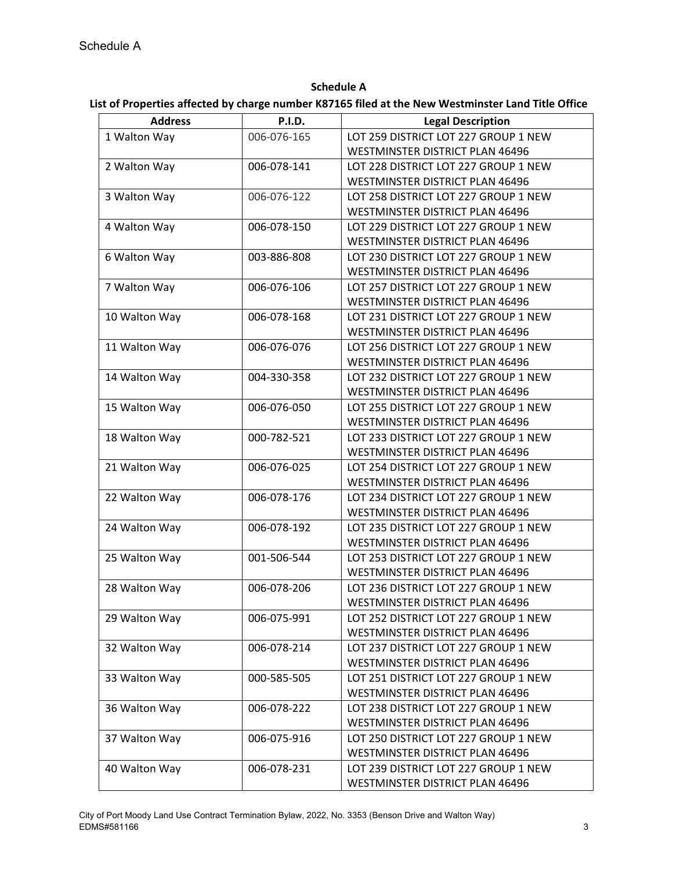### **Schedule A**

### **List of Properties affected by charge number K87165 filed at the New Westminster Land Title Office**

| <b>Address</b> | <b>P.I.D.</b> | <b>Legal Description</b>               |
|----------------|---------------|----------------------------------------|
| 1 Walton Way   | 006-076-165   | LOT 259 DISTRICT LOT 227 GROUP 1 NEW   |
|                |               | WESTMINSTER DISTRICT PLAN 46496        |
| 2 Walton Way   | 006-078-141   | LOT 228 DISTRICT LOT 227 GROUP 1 NEW   |
|                |               | <b>WESTMINSTER DISTRICT PLAN 46496</b> |
| 3 Walton Way   | 006-076-122   | LOT 258 DISTRICT LOT 227 GROUP 1 NEW   |
|                |               | WESTMINSTER DISTRICT PLAN 46496        |
| 4 Walton Way   | 006-078-150   | LOT 229 DISTRICT LOT 227 GROUP 1 NEW   |
|                |               | WESTMINSTER DISTRICT PLAN 46496        |
| 6 Walton Way   | 003-886-808   | LOT 230 DISTRICT LOT 227 GROUP 1 NEW   |
|                |               | <b>WESTMINSTER DISTRICT PLAN 46496</b> |
| 7 Walton Way   | 006-076-106   | LOT 257 DISTRICT LOT 227 GROUP 1 NEW   |
|                |               | WESTMINSTER DISTRICT PLAN 46496        |
| 10 Walton Way  | 006-078-168   | LOT 231 DISTRICT LOT 227 GROUP 1 NEW   |
|                |               | <b>WESTMINSTER DISTRICT PLAN 46496</b> |
| 11 Walton Way  | 006-076-076   | LOT 256 DISTRICT LOT 227 GROUP 1 NEW   |
|                |               | WESTMINSTER DISTRICT PLAN 46496        |
| 14 Walton Way  | 004-330-358   | LOT 232 DISTRICT LOT 227 GROUP 1 NEW   |
|                |               | <b>WESTMINSTER DISTRICT PLAN 46496</b> |
| 15 Walton Way  | 006-076-050   | LOT 255 DISTRICT LOT 227 GROUP 1 NEW   |
|                |               | WESTMINSTER DISTRICT PLAN 46496        |
| 18 Walton Way  | 000-782-521   | LOT 233 DISTRICT LOT 227 GROUP 1 NEW   |
|                |               | WESTMINSTER DISTRICT PLAN 46496        |
| 21 Walton Way  | 006-076-025   | LOT 254 DISTRICT LOT 227 GROUP 1 NEW   |
|                |               | WESTMINSTER DISTRICT PLAN 46496        |
| 22 Walton Way  | 006-078-176   | LOT 234 DISTRICT LOT 227 GROUP 1 NEW   |
|                |               | <b>WESTMINSTER DISTRICT PLAN 46496</b> |
| 24 Walton Way  | 006-078-192   | LOT 235 DISTRICT LOT 227 GROUP 1 NEW   |
|                |               | WESTMINSTER DISTRICT PLAN 46496        |
| 25 Walton Way  | 001-506-544   | LOT 253 DISTRICT LOT 227 GROUP 1 NEW   |
|                |               | WESTMINSTER DISTRICT PLAN 46496        |
| 28 Walton Way  | 006-078-206   | LOT 236 DISTRICT LOT 227 GROUP 1 NEW   |
|                |               | WESTMINSTER DISTRICT PLAN 46496        |
| 29 Walton Way  | 006-075-991   | LOT 252 DISTRICT LOT 227 GROUP 1 NEW   |
|                |               | WESTMINSTER DISTRICT PLAN 46496        |
| 32 Walton Way  | 006-078-214   | LOT 237 DISTRICT LOT 227 GROUP 1 NEW   |
|                |               | WESTMINSTER DISTRICT PLAN 46496        |
| 33 Walton Way  | 000-585-505   | LOT 251 DISTRICT LOT 227 GROUP 1 NEW   |
|                |               | <b>WESTMINSTER DISTRICT PLAN 46496</b> |
| 36 Walton Way  | 006-078-222   | LOT 238 DISTRICT LOT 227 GROUP 1 NEW   |
|                |               | WESTMINSTER DISTRICT PLAN 46496        |
| 37 Walton Way  | 006-075-916   | LOT 250 DISTRICT LOT 227 GROUP 1 NEW   |
|                |               | WESTMINSTER DISTRICT PLAN 46496        |
| 40 Walton Way  | 006-078-231   | LOT 239 DISTRICT LOT 227 GROUP 1 NEW   |
|                |               | WESTMINSTER DISTRICT PLAN 46496        |